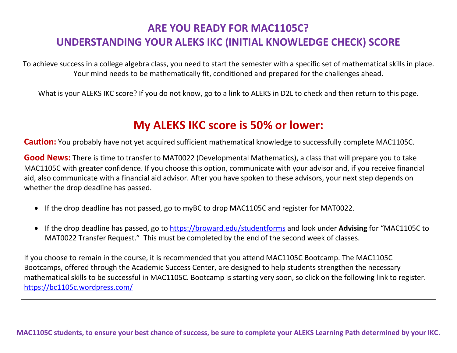### **ARE YOU READY FOR MAC1105C? UNDERSTANDING YOUR ALEKS IKC (INITIAL KNOWLEDGE CHECK) SCORE**

To achieve success in a college algebra class, you need to start the semester with a specific set of mathematical skills in place. Your mind needs to be mathematically fit, conditioned and prepared for the challenges ahead.

What is your ALEKS IKC score? If you do not know, go to a link to ALEKS in D2L to check and then return to this page.

# **My ALEKS IKC score is 50% or lower:**

**Caution:** You probably have not yet acquired sufficient mathematical knowledge to successfully complete MAC1105C.

**Good News:** There is time to transfer to MAT0022 (Developmental Mathematics), a class that will prepare you to take MAC1105C with greater confidence. If you choose this option, communicate with your advisor and, if you receive financial aid, also communicate with a financial aid advisor. After you have spoken to these advisors, your next step depends on whether the drop deadline has passed.

- If the drop deadline has not passed, go to myBC to drop MAC1105C and register for MAT0022.
- If the drop deadline has passed, go to<https://broward.edu/studentforms> and look under **Advising** for "MAC1105C to MAT0022 Transfer Request." This must be completed by the end of the second week of classes.

If you choose to remain in the course, it is recommended that you attend MAC1105C Bootcamp. The MAC1105C Bootcamps, offered through the Academic Success Center, are designed to help students strengthen the necessary mathematical skills to be successful in MAC1105C. Bootcamp is starting very soon, so click on the following link to register. <https://bc1105c.wordpress.com/>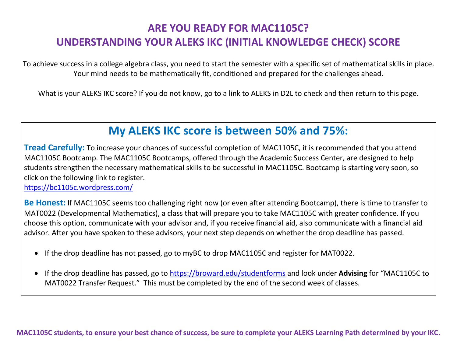### **ARE YOU READY FOR MAC1105C? UNDERSTANDING YOUR ALEKS IKC (INITIAL KNOWLEDGE CHECK) SCORE**

To achieve success in a college algebra class, you need to start the semester with a specific set of mathematical skills in place. Your mind needs to be mathematically fit, conditioned and prepared for the challenges ahead.

What is your ALEKS IKC score? If you do not know, go to a link to ALEKS in D2L to check and then return to this page.

### **My ALEKS IKC score is between 50% and 75%:**

**Tread Carefully:** To increase your chances of successful completion of MAC1105C, it is recommended that you attend MAC1105C Bootcamp. The MAC1105C Bootcamps, offered through the Academic Success Center, are designed to help students strengthen the necessary mathematical skills to be successful in MAC1105C. Bootcamp is starting very soon, so click on the following link to register.

<https://bc1105c.wordpress.com/>

**Be Honest:** If MAC1105C seems too challenging right now (or even after attending Bootcamp), there is time to transfer to MAT0022 (Developmental Mathematics), a class that will prepare you to take MAC1105C with greater confidence. If you choose this option, communicate with your advisor and, if you receive financial aid, also communicate with a financial aid advisor. After you have spoken to these advisors, your next step depends on whether the drop deadline has passed.

- If the drop deadline has not passed, go to myBC to drop MAC1105C and register for MAT0022.
- If the drop deadline has passed, go to<https://broward.edu/studentforms> and look under **Advising** for "MAC1105C to MAT0022 Transfer Request." This must be completed by the end of the second week of classes.